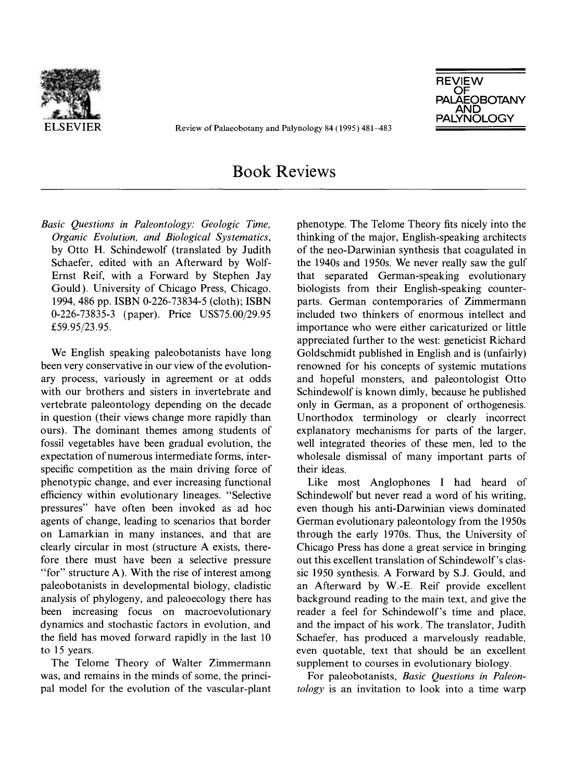

ELSEVIER Review of Palaeobotany and Palynology 84 (1995) 481–483



## Book Reviews

*Basic Questions in Paleontology: Geologic Time, Organic Evolution, and Biological Systematics,* by Otto H. Schindewolf (translated by Judith Schaefer, edited with an Afterward by Wolf-Ernst Reif, with a Forward by Stephen Jay Gould). University of Chicago Press, Chicago. 1994, 486 pp. ISBN 0-226-73834-5 (cloth); ISBN 0-226-73835-3 (paper). Price US\$75.00/29.95 £59.95/23.95.

We English speaking paleobotanists have long been very conservative in our view of the evolutionary process, variously in agreement or at odds with our brothers and sisters in invertebrate and vertebrate paleontology depending on the decade in question (their views change more rapidly than ours). The dominant themes among students of fossil vegetables have been gradual evolution, the expectation of numerous intermediate forms, interspecific competition as the main driving force of phenotypic change, and ever increasing functional efficiency within evolutionary lineages. "Selective pressures" have often been invoked as ad hoc agents of change, leading to scenarios that border on Lamarkian in many instances, and that are clearly circular in most (structure A exists, therefore there must have been a selective pressure "for" structure A). With the rise of interest among paleobotanists in developmental biology, cladistic analysis of phylogeny, and paleoecology there has been increasing focus on macroevolutionary dynamics and stochastic factors in evolution, and the field has moved forward rapidly in the last 10 to 15 years.

The Telome Theory of Walter Zimmermann was, and remains in the minds of some, the principal model for the evolution of the vascular-plant phenotype. The Telome Theory fits nicely into the thinking of the major, English-speaking architects of the neo-Darwinian synthesis that coagulated in the 1940s and 1950s. We never really saw the gulf that separated German-speaking evolutionary biologists from their English-speaking counterparts. German contemporaries of Zimmermann included two thinkers of enormous intellect and importance who were either caricaturized or little appreciated further to the west: geneticist Richard Goldschmidt published in English and is (unfairly) renowned for his concepts of systemic mutations and hopeful monsters, and paleontologist Otto Schindewolf is known dimly, because he published only in German, as a proponent of orthogenesis. Unorthodox terminology or clearly incorrect explanatory mechanisms for parts of the larger, well integrated theories of these men, led to the wholesale dismissal of many important parts of their ideas.

Like most Anglophones I had heard of Schindewolf but never read a word of his writing, even though his anti-Darwinian views dominated German evolutionary paleontology from the 1950s through the early 1970s. Thus, the University of Chicago Press has done a great service in bringing out this excellent translation of Schindewolf's classic 1950 synthesis. A Forward by S.J. Gould, and an Afterward by W.-E. Reif provide excellent background reading to the main text, and give the reader a feel for Schindewolf's time and place, and the impact of his work. The translator, Judith Schaefer, has produced a marvelously readable, even quotable, text that should be an excellent supplement to courses in evolutionary biology.

For paleobotanists, *Basic Questions in Paleontology* is an invitation to look into a time warp